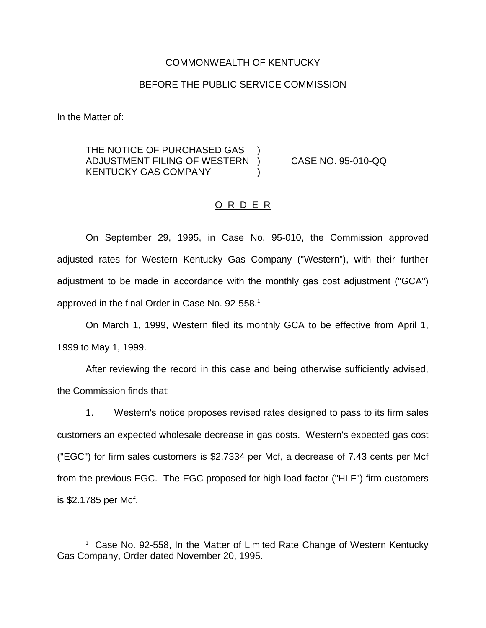### COMMONWEALTH OF KENTUCKY

## BEFORE THE PUBLIC SERVICE COMMISSION

In the Matter of:

THE NOTICE OF PURCHASED GAS ADJUSTMENT FILING OF WESTERN ) CASE NO. 95-010-QQ KENTUCKY GAS COMPANY (1998)

## O R D E R

On September 29, 1995, in Case No. 95-010, the Commission approved adjusted rates for Western Kentucky Gas Company ("Western"), with their further adjustment to be made in accordance with the monthly gas cost adjustment ("GCA") approved in the final Order in Case No. 92-558.<sup>1</sup>

On March 1, 1999, Western filed its monthly GCA to be effective from April 1, 1999 to May 1, 1999.

After reviewing the record in this case and being otherwise sufficiently advised, the Commission finds that:

1. Western's notice proposes revised rates designed to pass to its firm sales customers an expected wholesale decrease in gas costs. Western's expected gas cost ("EGC") for firm sales customers is \$2.7334 per Mcf, a decrease of 7.43 cents per Mcf from the previous EGC. The EGC proposed for high load factor ("HLF") firm customers is \$2.1785 per Mcf.

<sup>&</sup>lt;sup>1</sup> Case No. 92-558, In the Matter of Limited Rate Change of Western Kentucky Gas Company, Order dated November 20, 1995.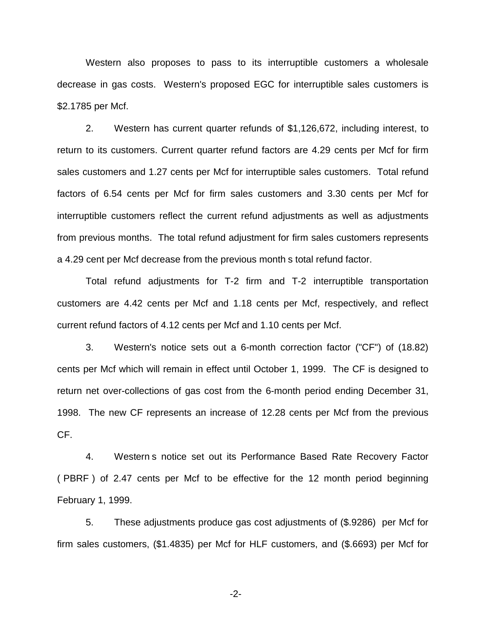Western also proposes to pass to its interruptible customers a wholesale decrease in gas costs. Western's proposed EGC for interruptible sales customers is \$2.1785 per Mcf.

2. Western has current quarter refunds of \$1,126,672, including interest, to return to its customers. Current quarter refund factors are 4.29 cents per Mcf for firm sales customers and 1.27 cents per Mcf for interruptible sales customers. Total refund factors of 6.54 cents per Mcf for firm sales customers and 3.30 cents per Mcf for interruptible customers reflect the current refund adjustments as well as adjustments from previous months. The total refund adjustment for firm sales customers represents a 4.29 cent per Mcf decrease from the previous month s total refund factor.

Total refund adjustments for T-2 firm and T-2 interruptible transportation customers are 4.42 cents per Mcf and 1.18 cents per Mcf, respectively, and reflect current refund factors of 4.12 cents per Mcf and 1.10 cents per Mcf.

3. Western's notice sets out a 6-month correction factor ("CF") of (18.82) cents per Mcf which will remain in effect until October 1, 1999. The CF is designed to return net over-collections of gas cost from the 6-month period ending December 31, 1998. The new CF represents an increase of 12.28 cents per Mcf from the previous CF.

4. Western s notice set out its Performance Based Rate Recovery Factor ( PBRF ) of 2.47 cents per Mcf to be effective for the 12 month period beginning February 1, 1999.

5. These adjustments produce gas cost adjustments of (\$.9286) per Mcf for firm sales customers, (\$1.4835) per Mcf for HLF customers, and (\$.6693) per Mcf for

-2-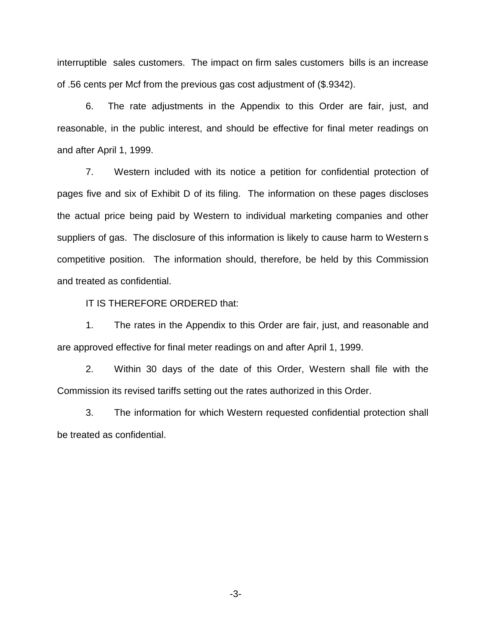interruptible sales customers. The impact on firm sales customers bills is an increase of .56 cents per Mcf from the previous gas cost adjustment of (\$.9342).

6. The rate adjustments in the Appendix to this Order are fair, just, and reasonable, in the public interest, and should be effective for final meter readings on and after April 1, 1999.

7. Western included with its notice a petition for confidential protection of pages five and six of Exhibit D of its filing. The information on these pages discloses the actual price being paid by Western to individual marketing companies and other suppliers of gas. The disclosure of this information is likely to cause harm to Western s competitive position. The information should, therefore, be held by this Commission and treated as confidential.

IT IS THEREFORE ORDERED that:

1. The rates in the Appendix to this Order are fair, just, and reasonable and are approved effective for final meter readings on and after April 1, 1999.

2. Within 30 days of the date of this Order, Western shall file with the Commission its revised tariffs setting out the rates authorized in this Order.

3. The information for which Western requested confidential protection shall be treated as confidential.

-3-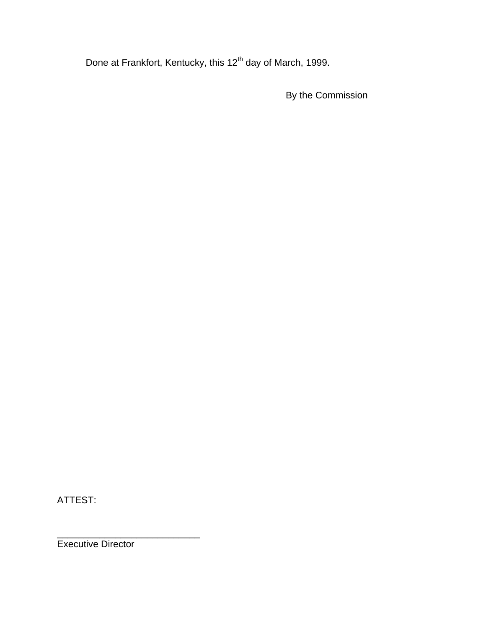Done at Frankfort, Kentucky, this 12<sup>th</sup> day of March, 1999.

By the Commission

ATTEST:

\_\_\_\_\_\_\_\_\_\_\_\_\_\_\_\_\_\_\_\_\_\_\_\_\_\_\_ Executive Director